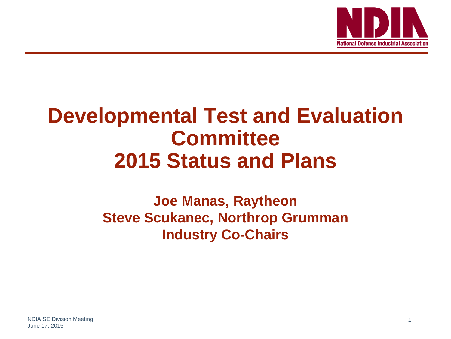

# **Developmental Test and Evaluation Committee 2015 Status and Plans**

## **Joe Manas, Raytheon Steve Scukanec, Northrop Grumman Industry Co-Chairs**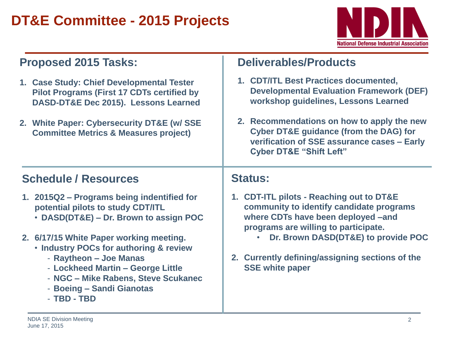## **DT&E Committee - 2015 Projects**



## **Proposed 2015 Tasks:**

- **1. Case Study: Chief Developmental Tester Pilot Programs (First 17 CDTs certified by DASD-DT&E Dec 2015). Lessons Learned**
- **2. White Paper: Cybersecurity DT&E (w/ SSE Committee Metrics & Measures project)**

## **Deliverables/Products**

- **1. CDT/ITL Best Practices documented, Developmental Evaluation Framework (DEF) workshop guidelines, Lessons Learned**
- **2. Recommendations on how to apply the new Cyber DT&E guidance (from the DAG) for verification of SSE assurance cases – Early Cyber DT&E "Shift Left"**

## **Schedule / Resources**

- **1. 2015Q2 – Programs being indentified for potential pilots to study CDT/ITL**
	- **DASD(DT&E) – Dr. Brown to assign POC**
- **2. 6/17/15 White Paper working meeting.**
	- **Industry POCs for authoring & review**
		- **Raytheon – Joe Manas**
		- **Lockheed Martin – George Little**
		- **NGC – Mike Rabens, Steve Scukanec**
		- **Boeing – Sandi Gianotas**
		- **TBD - TBD**

## **Status:**

- **1. CDT-ITL pilots - Reaching out to DT&E community to identify candidate programs where CDTs have been deployed –and programs are willing to participate.**
	- **Dr. Brown DASD(DT&E) to provide POC**
- **2. Currently defining/assigning sections of the SSE white paper**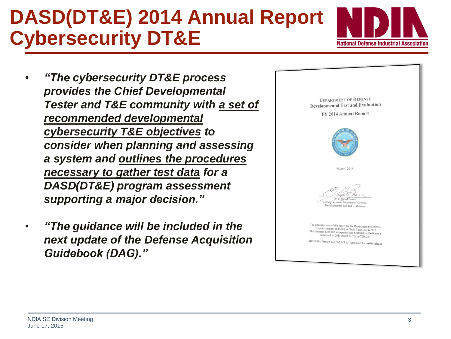# **DASD(DT&E) 2014 Annual Report Cybersecurity DT&E**

**National Defense Industrial Association** 

- *"The cybersecurity DT&E process provides the Chief Developmental Tester and T&E community with a set of recommended developmental cybersecurity T&E objectives to consider when planning and assessing a system and outlines the procedures necessary to gather test data for a DASD(DT&E) program assessment supporting a major decision."*
- *"The guidance will be included in the next update of the Defense Acquisition Guidebook (DAG)."*

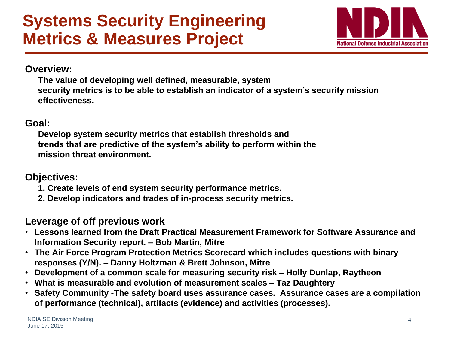

### **Overview:**

**The value of developing well defined, measurable, system security metrics is to be able to establish an indicator of a system's security mission effectiveness.**

### **Goal:**

**Develop system security metrics that establish thresholds and trends that are predictive of the system's ability to perform within the mission threat environment.**

## **Objectives:**

- **1. Create levels of end system security performance metrics.**
- **2. Develop indicators and trades of in-process security metrics.**

## **Leverage of off previous work**

- **Lessons learned from the Draft Practical Measurement Framework for Software Assurance and Information Security report. – Bob Martin, Mitre**
- **The Air Force Program Protection Metrics Scorecard which includes questions with binary responses (Y/N). – Danny Holtzman & Brett Johnson, Mitre**
- **Development of a common scale for measuring security risk – Holly Dunlap, Raytheon**
- **What is measurable and evolution of measurement scales – Taz Daughtery**
- **Safety Community -The safety board uses assurance cases. Assurance cases are a compilation of performance (technical), artifacts (evidence) and activities (processes).**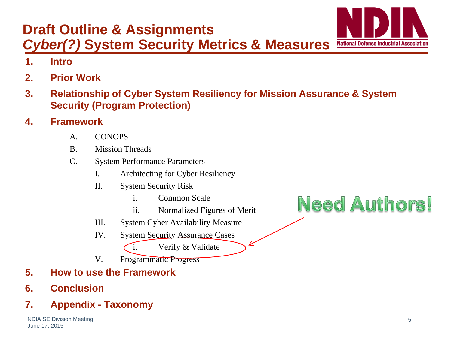**3. Relationship of Cyber System Resiliency for Mission Assurance & System Security (Program Protection)**

### **4. Framework**

**2. Prior Work**

**1. Intro**

- A. CONOPS
- B. Mission Threads

**Draft Outline & Assignments**

- C. System Performance Parameters
	- I. Architecting for Cyber Resiliency
	- II. System Security Risk
		- i. Common Scale
		- ii. Normalized Figures of Merit
	- III. System Cyber Availability Measure
	- IV. System Security Assurance Cases
		- i. Verify & Validate
	- V. Programmatic Progress
- **5. How to use the Framework**
- **6. Conclusion**

## **7. Appendix - Taxonomy**

**Need Authors!** 

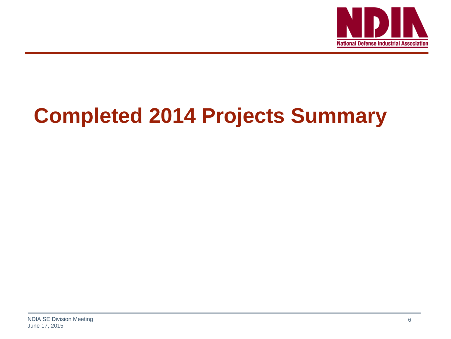

# **Completed 2014 Projects Summary**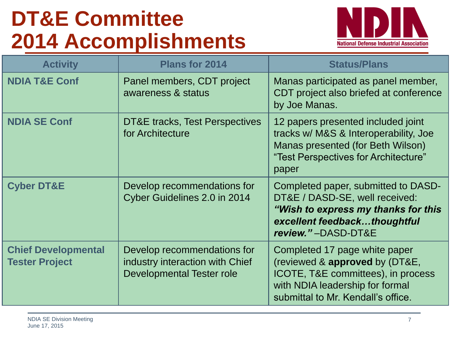# **DT&E Committee 2014 Accomplishments**



| <b>Activity</b>                                     | <b>Plans for 2014</b>                                                                       | <b>Status/Plans</b>                                                                                                                                                            |  |  |
|-----------------------------------------------------|---------------------------------------------------------------------------------------------|--------------------------------------------------------------------------------------------------------------------------------------------------------------------------------|--|--|
| <b>NDIA T&amp;E Conf</b>                            | Panel members, CDT project<br>awareness & status                                            | Manas participated as panel member,<br>CDT project also briefed at conference<br>by Joe Manas.                                                                                 |  |  |
| <b>NDIA SE Conf</b>                                 | DT&E tracks, Test Perspectives<br>for Architecture                                          | 12 papers presented included joint<br>tracks w/ M&S & Interoperability, Joe<br>Manas presented (for Beth Wilson)<br>"Test Perspectives for Architecture"<br>paper              |  |  |
| <b>Cyber DT&amp;E</b>                               | Develop recommendations for<br>Cyber Guidelines 2.0 in 2014                                 | Completed paper, submitted to DASD-<br>DT&E / DASD-SE, well received:<br>"Wish to express my thanks for this<br>excellent feedbackthoughtful<br>review."-DASD-DT&E             |  |  |
| <b>Chief Developmental</b><br><b>Tester Project</b> | Develop recommendations for<br>industry interaction with Chief<br>Developmental Tester role | Completed 17 page white paper<br>(reviewed & approved by (DT&E,<br>ICOTE, T&E committees), in process<br>with NDIA leadership for formal<br>submittal to Mr. Kendall's office. |  |  |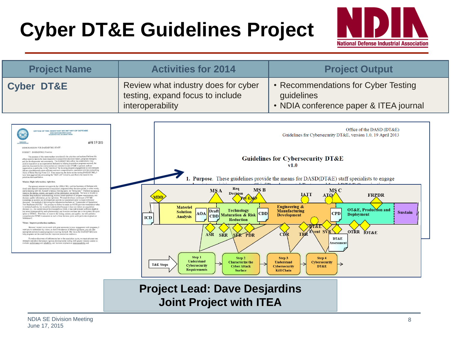# **Cyber DT&E Guidelines Project**



| <b>Project Name</b>                                                                                                                                                                                                                                                                                                                                                                                                                                                                                                                                                                                                                                                                                                                                                                                                                                                                                                                                                                                                                                                                                                                                              | <b>Activities for 2014</b>                                                                  | <b>Project Output</b>                                                                                                                                                                                                                          |  |  |
|------------------------------------------------------------------------------------------------------------------------------------------------------------------------------------------------------------------------------------------------------------------------------------------------------------------------------------------------------------------------------------------------------------------------------------------------------------------------------------------------------------------------------------------------------------------------------------------------------------------------------------------------------------------------------------------------------------------------------------------------------------------------------------------------------------------------------------------------------------------------------------------------------------------------------------------------------------------------------------------------------------------------------------------------------------------------------------------------------------------------------------------------------------------|---------------------------------------------------------------------------------------------|------------------------------------------------------------------------------------------------------------------------------------------------------------------------------------------------------------------------------------------------|--|--|
| <b>Cyber DT&amp;E</b>                                                                                                                                                                                                                                                                                                                                                                                                                                                                                                                                                                                                                                                                                                                                                                                                                                                                                                                                                                                                                                                                                                                                            | Review what industry does for cyber<br>testing, expand focus to include<br>interoperability | • Recommendations for Cyber Testing<br>guidelines<br>• NDIA conference paper & ITEA journal                                                                                                                                                    |  |  |
| OFFICE OF THE ASSISTANT SECRETARY OF DEFENSE<br>3030 DEPENSE PENTAGON<br>WASHINGTON, DC 20301-3030<br>APR 19 2013<br><b>HESEARCH</b><br>MEMORANDUM FOR DASD(DT&E) STAFF<br>SUBJECT: DASD(DT&E) Priorities<br>The purpose of this memorandum is to identify the priorities and actions I believe this<br>office needs to take to be more responsive to acquisition decision makers, program managers,<br>and the developmental test community. The DASD(DT&E) office has established a very<br>positive reputation as an organization dedicated to helping acquisition programs succeed; the<br>priorities discussed in this memorandum are intended to take DT&E in general, and our<br>ceassization in particular, to the "next level" by focusing program engagement on test strategies<br>that are simultaneously more efficient and more comprehensive, consistent with the overacching<br>theme of Better Buying Power 2.0. Since assuming the duties as the Acting DASD(DT&E), I<br>have been aggressively advocating the "Shift Left" initiative, and that is the basis for the<br>priorities discussed below.<br>Mission: Right information, right time. |                                                                                             | Office of the DASD $(DT&E)$<br>Guidelines for Cybersecurity DT&E, version 1.0, 19 April 2013<br><b>Guidelines for Cybersecurity DT&amp;E</b><br>v1.0<br>Purpose. These guidelines provide the means for DASD(DT&E) staff specialists to engage |  |  |
| Our primary mission is to provide the USD(AT&L) and the Secretary of Defense with<br>timely and objective assessments of acquisition programs at key decision points; in other words,<br>and in keeping with Mr. Kendall's famous Deming quote, we "bring data." I believe we have to<br>improve the timing, content, and quality of the information we provide. We have to be able to<br>translate deep technical understanding, across a broad spectrum of program requirements, into<br>decision quality information, at the right time. We must develop a continuum of DT&E<br>knowledge as systems are developed and provide our assessment prior to major milestone                                                                                                                                                                                                                                                                                                                                                                                                                                                                                        | Req<br><b>MSB</b><br><b>MSA</b><br>Decision<br>MDD                                          | <b>FRPDR</b>                                                                                                                                                                                                                                   |  |  |

koowledge as systems are develops<br>of an provident in provident in prior to major endomination. Our method of delivering this information has been as<br> $\sim$  Manustering of Operational (All the system of the system of the<br>sys

Vision: Improve production readiness.

 $\label{thm:main} \begin{minipage}[t]{0.9\textwidth} \begin{itemize} \textbf{Because 1 except you to work with great automorphism by some temperature with programming problems.} \textbf{We will be undefined in the observed balance of detailed grüdering approach to maximize for the observed. My via the DASSQOTAEID is a proper same action as a single program is in rowing forward. My via on for DASSQOTAEID is a high program is at the conditions for improved production radiation.} \end{itemize} \end{minipage}$ 

To reduce discovery of deficiencies late in the acquisition cycle, we must advocate test<br>stategies and planes that ensure rigorous developmental testing with generic mission context to<br>evaluate gerformance and cellability,



## **Project Lead: Dave Desjardins Joint Project with ITEA**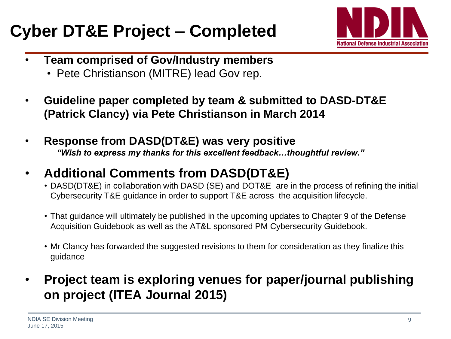## **Cyber DT&E Project – Completed**



- **Team comprised of Gov/Industry members**
	- Pete Christianson (MITRE) lead Gov rep.
- **Guideline paper completed by team & submitted to DASD-DT&E (Patrick Clancy) via Pete Christianson in March 2014**
- **Response from DASD(DT&E) was very positive** *"Wish to express my thanks for this excellent feedback…thoughtful review."*
- **Additional Comments from DASD(DT&E)**
	- DASD(DT&E) in collaboration with DASD (SE) and DOT&E are in the process of refining the initial Cybersecurity T&E guidance in order to support T&E across the acquisition lifecycle.
	- That guidance will ultimately be published in the upcoming updates to Chapter 9 of the Defense Acquisition Guidebook as well as the AT&L sponsored PM Cybersecurity Guidebook.
	- Mr Clancy has forwarded the suggested revisions to them for consideration as they finalize this guidance
- **Project team is exploring venues for paper/journal publishing on project (ITEA Journal 2015)**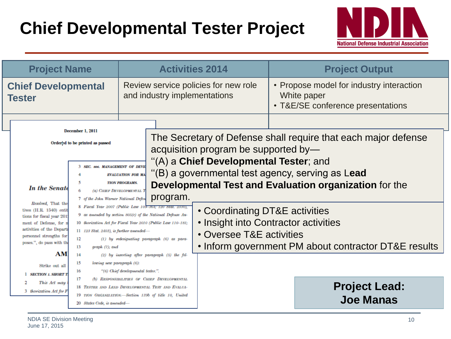## **Chief Developmental Tester Project**



| <b>Project Name</b>                         |                                                                                                                                                                                                                                                                                                                                                                                                                                                                                                                                                                                                                                                                                                                                                                                                                                                                                                                                                                     | <b>Activities 2014</b>                                                |                       |                                                                                           | <b>Project Output</b>                                                                        |                                                        |
|---------------------------------------------|---------------------------------------------------------------------------------------------------------------------------------------------------------------------------------------------------------------------------------------------------------------------------------------------------------------------------------------------------------------------------------------------------------------------------------------------------------------------------------------------------------------------------------------------------------------------------------------------------------------------------------------------------------------------------------------------------------------------------------------------------------------------------------------------------------------------------------------------------------------------------------------------------------------------------------------------------------------------|-----------------------------------------------------------------------|-----------------------|-------------------------------------------------------------------------------------------|----------------------------------------------------------------------------------------------|--------------------------------------------------------|
| <b>Chief Developmental</b><br><b>Tester</b> |                                                                                                                                                                                                                                                                                                                                                                                                                                                                                                                                                                                                                                                                                                                                                                                                                                                                                                                                                                     | Review service policies for new role<br>and industry implementations  |                       |                                                                                           | • Propose model for industry interaction<br>White paper<br>• T&E/SE conference presentations |                                                        |
|                                             |                                                                                                                                                                                                                                                                                                                                                                                                                                                                                                                                                                                                                                                                                                                                                                                                                                                                                                                                                                     |                                                                       |                       |                                                                                           |                                                                                              |                                                        |
|                                             | December 1, 2011<br>Ordered to be printed as passed                                                                                                                                                                                                                                                                                                                                                                                                                                                                                                                                                                                                                                                                                                                                                                                                                                                                                                                 |                                                                       |                       | acquisition program be supported by-                                                      | The Secretary of Defense shall require that each major defense                               |                                                        |
|                                             | <b>3 SEC. so6. MANAGEMENT OF DEVE</b><br><b>EVALUATION FOR MA</b>                                                                                                                                                                                                                                                                                                                                                                                                                                                                                                                                                                                                                                                                                                                                                                                                                                                                                                   |                                                                       |                       | "(A) a Chief Developmental Tester; and<br>(B) a governmental test agency, serving as Lead |                                                                                              |                                                        |
|                                             | In the Senate                                                                                                                                                                                                                                                                                                                                                                                                                                                                                                                                                                                                                                                                                                                                                                                                                                                                                                                                                       | 5<br>(a) CHIEF DEVELOPMENTAL T<br>7 of the John Warner National Defen | <b>TION PROGRAMS.</b> | program.                                                                                  |                                                                                              | Developmental Test and Evaluation organization for the |
|                                             | Resolved, That the<br>8 Fiscal Year 2007 (Public Law 109-364; 120 Stat. 2330),<br>tives (H.R. 1540) entit<br>9 as amended by section 805(c) of the National Defense Au-<br>tions for fiscal year 201<br>10 thorization Act for Fiscal Year 2010 (Public Law 110-181;<br>of Defense, for n<br>ment<br>activities of the Departa<br>$11$ 123 Stat. 2403), is further amended-<br>personnel strengths for<br>12<br>$(1)$ by redesignating paragraph $(6)$ as para-<br>poses.", do pass with the<br>13<br>$graph(7)$ ; and<br>AM<br>14<br>$(2)$ by inserting after paragraph $(5)$ the fol-<br>15<br>lowing new paragraph (6):<br>Strike out all<br>16<br>"(6) Chief developmental tester.".<br><b>SECTION 1. SHORT T</b><br>17<br>(b) RESPONSIBILITIES OF CHIEF DEVELOPMENTAL<br>This Act may<br>18 TESTER AND LEAD DEVELOPMENTAL TEST AND EVALUA-<br>3 thorization Act for F<br>19 TION ORGANIZATION.-Section 139b of title 10, United<br>20 States Code, is amended- |                                                                       |                       | • Coordinating DT&E activities                                                            | • Insight into Contractor activities                                                         |                                                        |
|                                             |                                                                                                                                                                                                                                                                                                                                                                                                                                                                                                                                                                                                                                                                                                                                                                                                                                                                                                                                                                     |                                                                       |                       | • Oversee T&E activities                                                                  | • Inform government PM about contractor DT&E results                                         |                                                        |
|                                             |                                                                                                                                                                                                                                                                                                                                                                                                                                                                                                                                                                                                                                                                                                                                                                                                                                                                                                                                                                     |                                                                       |                       |                                                                                           |                                                                                              |                                                        |
|                                             |                                                                                                                                                                                                                                                                                                                                                                                                                                                                                                                                                                                                                                                                                                                                                                                                                                                                                                                                                                     |                                                                       |                       |                                                                                           |                                                                                              | <b>Project Lead:</b><br><b>Joe Manas</b>               |